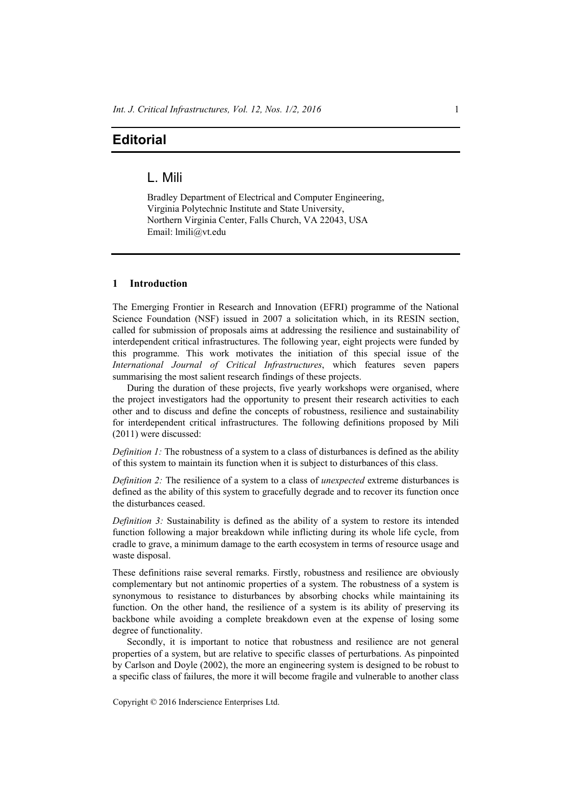# **Editorial**

## L. Mili

Bradley Department of Electrical and Computer Engineering, Virginia Polytechnic Institute and State University, Northern Virginia Center, Falls Church, VA 22043, USA Email: lmili@vt.edu

### **1 Introduction**

The Emerging Frontier in Research and Innovation (EFRI) programme of the National Science Foundation (NSF) issued in 2007 a solicitation which, in its RESIN section, called for submission of proposals aims at addressing the resilience and sustainability of interdependent critical infrastructures. The following year, eight projects were funded by this programme. This work motivates the initiation of this special issue of the *International Journal of Critical Infrastructures*, which features seven papers summarising the most salient research findings of these projects.

During the duration of these projects, five yearly workshops were organised, where the project investigators had the opportunity to present their research activities to each other and to discuss and define the concepts of robustness, resilience and sustainability for interdependent critical infrastructures. The following definitions proposed by Mili (2011) were discussed:

*Definition 1:* The robustness of a system to a class of disturbances is defined as the ability of this system to maintain its function when it is subject to disturbances of this class.

*Definition 2:* The resilience of a system to a class of *unexpected* extreme disturbances is defined as the ability of this system to gracefully degrade and to recover its function once the disturbances ceased.

*Definition 3:* Sustainability is defined as the ability of a system to restore its intended function following a major breakdown while inflicting during its whole life cycle, from cradle to grave, a minimum damage to the earth ecosystem in terms of resource usage and waste disposal.

These definitions raise several remarks. Firstly, robustness and resilience are obviously complementary but not antinomic properties of a system. The robustness of a system is synonymous to resistance to disturbances by absorbing chocks while maintaining its function. On the other hand, the resilience of a system is its ability of preserving its backbone while avoiding a complete breakdown even at the expense of losing some degree of functionality.

Secondly, it is important to notice that robustness and resilience are not general properties of a system, but are relative to specific classes of perturbations. As pinpointed by Carlson and Doyle (2002), the more an engineering system is designed to be robust to a specific class of failures, the more it will become fragile and vulnerable to another class

Copyright © 2016 Inderscience Enterprises Ltd.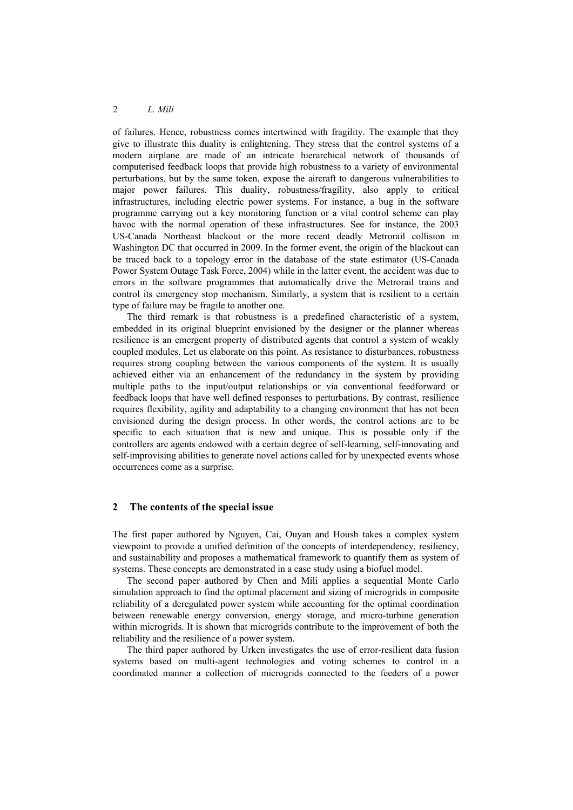#### 2 *L. Mili*

of failures. Hence, robustness comes intertwined with fragility. The example that they give to illustrate this duality is enlightening. They stress that the control systems of a modern airplane are made of an intricate hierarchical network of thousands of computerised feedback loops that provide high robustness to a variety of environmental perturbations, but by the same token, expose the aircraft to dangerous vulnerabilities to major power failures. This duality, robustness/fragility, also apply to critical infrastructures, including electric power systems. For instance, a bug in the software programme carrying out a key monitoring function or a vital control scheme can play havoc with the normal operation of these infrastructures. See for instance, the 2003 US-Canada Northeast blackout or the more recent deadly Metrorail collision in Washington DC that occurred in 2009. In the former event, the origin of the blackout can be traced back to a topology error in the database of the state estimator (US-Canada Power System Outage Task Force, 2004) while in the latter event, the accident was due to errors in the software programmes that automatically drive the Metrorail trains and control its emergency stop mechanism. Similarly, a system that is resilient to a certain type of failure may be fragile to another one.

The third remark is that robustness is a predefined characteristic of a system, embedded in its original blueprint envisioned by the designer or the planner whereas resilience is an emergent property of distributed agents that control a system of weakly coupled modules. Let us elaborate on this point. As resistance to disturbances, robustness requires strong coupling between the various components of the system. It is usually achieved either via an enhancement of the redundancy in the system by providing multiple paths to the input/output relationships or via conventional feedforward or feedback loops that have well defined responses to perturbations. By contrast, resilience requires flexibility, agility and adaptability to a changing environment that has not been envisioned during the design process. In other words, the control actions are to be specific to each situation that is new and unique. This is possible only if the controllers are agents endowed with a certain degree of self-learning, self-innovating and self-improvising abilities to generate novel actions called for by unexpected events whose occurrences come as a surprise.

#### **2 The contents of the special issue**

The first paper authored by Nguyen, Cai, Ouyan and Housh takes a complex system viewpoint to provide a unified definition of the concepts of interdependency, resiliency, and sustainability and proposes a mathematical framework to quantify them as system of systems. These concepts are demonstrated in a case study using a biofuel model.

The second paper authored by Chen and Mili applies a sequential Monte Carlo simulation approach to find the optimal placement and sizing of microgrids in composite reliability of a deregulated power system while accounting for the optimal coordination between renewable energy conversion, energy storage, and micro-turbine generation within microgrids. It is shown that microgrids contribute to the improvement of both the reliability and the resilience of a power system.

The third paper authored by Urken investigates the use of error-resilient data fusion systems based on multi-agent technologies and voting schemes to control in a coordinated manner a collection of microgrids connected to the feeders of a power